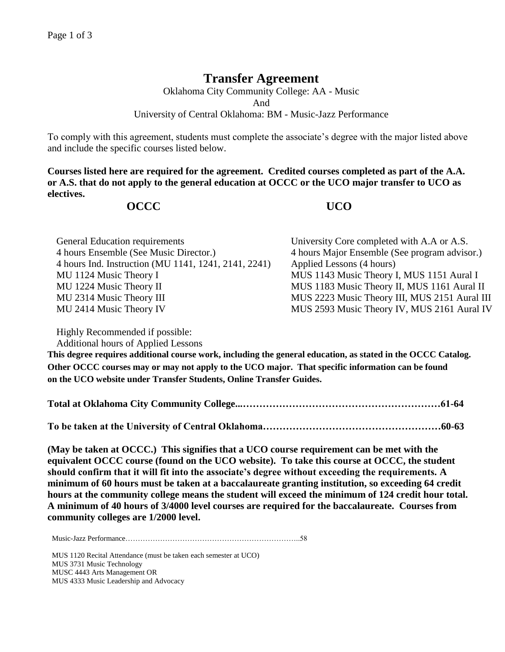## **Transfer Agreement**

Oklahoma City Community College: AA - Music And University of Central Oklahoma: BM - Music-Jazz Performance

To comply with this agreement, students must complete the associate's degree with the major listed above and include the specific courses listed below.

**Courses listed here are required for the agreement. Credited courses completed as part of the A.A. or A.S. that do not apply to the general education at OCCC or the UCO major transfer to UCO as electives.**

## **OCCC UCO**

| <b>General Education requirements</b>                | University Core completed with A.A or A.S.    |
|------------------------------------------------------|-----------------------------------------------|
| 4 hours Ensemble (See Music Director.)               | 4 hours Major Ensemble (See program advisor.) |
| 4 hours Ind. Instruction (MU 1141, 1241, 2141, 2241) | Applied Lessons (4 hours)                     |
| MU 1124 Music Theory I                               | MUS 1143 Music Theory I, MUS 1151 Aural I     |
| MU 1224 Music Theory II                              | MUS 1183 Music Theory II, MUS 1161 Aural II   |
| MU 2314 Music Theory III                             | MUS 2223 Music Theory III, MUS 2151 Aural III |
| MU 2414 Music Theory IV                              | MUS 2593 Music Theory IV, MUS 2161 Aural IV   |

Highly Recommended if possible:

Additional hours of Applied Lessons

**This degree requires additional course work, including the general education, as stated in the OCCC Catalog. Other OCCC courses may or may not apply to the UCO major. That specific information can be found on the UCO website under Transfer Students, Online Transfer Guides.** 

|--|--|

**To be taken at the University of Central Oklahoma………………………………………………60-63**

**(May be taken at OCCC.) This signifies that a UCO course requirement can be met with the equivalent OCCC course (found on the UCO website). To take this course at OCCC, the student should confirm that it will fit into the associate's degree without exceeding the requirements. A minimum of 60 hours must be taken at a baccalaureate granting institution, so exceeding 64 credit hours at the community college means the student will exceed the minimum of 124 credit hour total. A minimum of 40 hours of 3/4000 level courses are required for the baccalaureate. Courses from community colleges are 1/2000 level.**

Music-Jazz Performance……………………………………………………………..58

MUS 1120 Recital Attendance (must be taken each semester at UCO) MUS 3731 Music Technology MUSC 4443 Arts Management OR MUS 4333 Music Leadership and Advocacy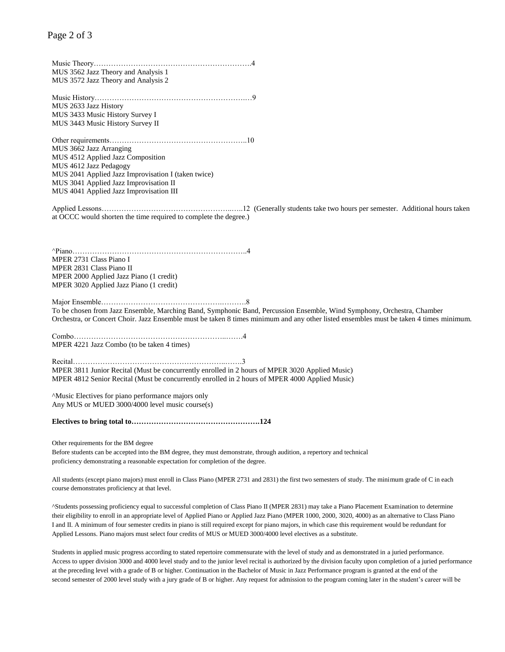Music Theory……………………………………………………….4 MUS 3562 Jazz Theory and Analysis 1 MUS 3572 Jazz Theory and Analysis 2

Music History…………………………………………………….…9 MUS 2633 Jazz History MUS 3433 Music History Survey I MUS 3443 Music History Survey II

Other requirements………………………………………………..10 MUS 3662 Jazz Arranging MUS 4512 Applied Jazz Composition MUS 4612 Jazz Pedagogy MUS 2041 Applied Jazz Improvisation I (taken twice) MUS 3041 Applied Jazz Improvisation II MUS 4041 Applied Jazz Improvisation III

Applied Lessons……………………………………………..…..12 (Generally students take two hours per semester. Additional hours taken at OCCC would shorten the time required to complete the degree.)

^Piano……………………………………………………………..4 MPER 2731 Class Piano I MPER 2831 Class Piano II MPER 2000 Applied Jazz Piano (1 credit) MPER 3020 Applied Jazz Piano (1 credit)

Major Ensemble………………………………………….……….8 To be chosen from Jazz Ensemble, Marching Band, Symphonic Band, Percussion Ensemble, Wind Symphony, Orchestra, Chamber Orchestra, or Concert Choir. Jazz Ensemble must be taken 8 times minimum and any other listed ensembles must be taken 4 times minimum.

Combo……………………………………………………..…….4 MPER 4221 Jazz Combo (to be taken 4 times)

Recital……………………………………………………..…….3 MPER 3811 Junior Recital (Must be concurrently enrolled in 2 hours of MPER 3020 Applied Music) MPER 4812 Senior Recital (Must be concurrently enrolled in 2 hours of MPER 4000 Applied Music)

^Music Electives for piano performance majors only Any MUS or MUED 3000/4000 level music course(s)

**Electives to bring total to…………………………………………….124**

Other requirements for the BM degree

Before students can be accepted into the BM degree, they must demonstrate, through audition, a repertory and technical proficiency demonstrating a reasonable expectation for completion of the degree.

All students (except piano majors) must enroll in Class Piano (MPER 2731 and 2831) the first two semesters of study. The minimum grade of C in each course demonstrates proficiency at that level.

^Students possessing proficiency equal to successful completion of Class Piano II (MPER 2831) may take a Piano Placement Examination to determine their eligibility to enroll in an appropriate level of Applied Piano or Applied Jazz Piano (MPER 1000, 2000, 3020, 4000) as an alternative to Class Piano I and II. A minimum of four semester credits in piano is still required except for piano majors, in which case this requirement would be redundant for Applied Lessons. Piano majors must select four credits of MUS or MUED 3000/4000 level electives as a substitute.

Students in applied music progress according to stated repertoire commensurate with the level of study and as demonstrated in a juried performance. Access to upper division 3000 and 4000 level study and to the junior level recital is authorized by the division faculty upon completion of a juried performance at the preceding level with a grade of B or higher. Continuation in the Bachelor of Music in Jazz Performance program is granted at the end of the second semester of 2000 level study with a jury grade of B or higher. Any request for admission to the program coming later in the student's career will be